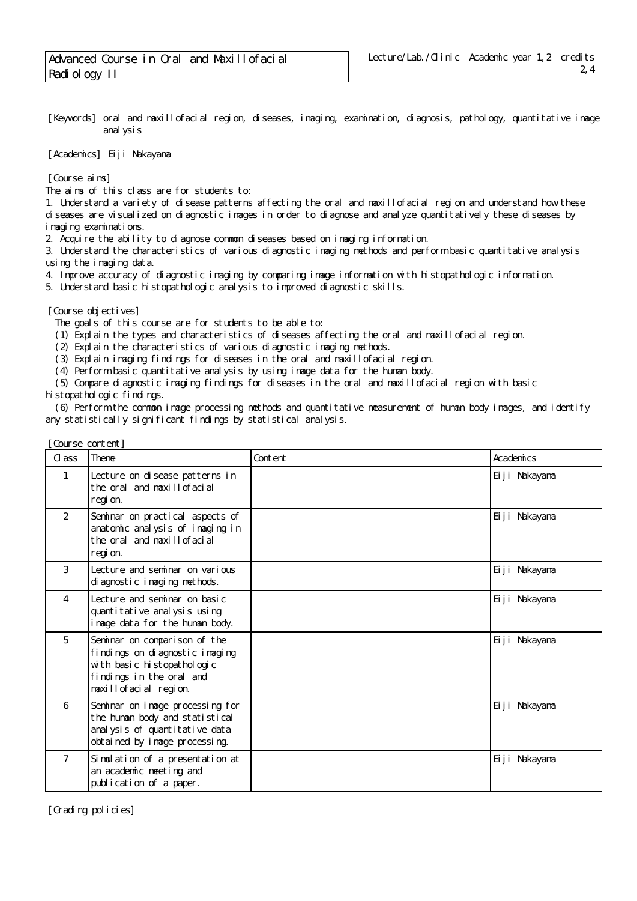[Keywords] oral and maxillofacial region, diseases, imaging, examination, diagnosis, pathology, quantitative image analysis

[Academics] Eiji Nakayama

[Course aims]

The aims of this class are for students to:

1. Understand a variety of disease patterns affecting the oral and maxillofacial region and understand how these diseases are visualized on diagnostic images in order to diagnose and analyze quantitatively these diseases by imaging examinations.

2. Acquire the ability to diagnose common diseases based on imaging information.

3. Understand the characteristics of various diagnostic imaging methods and perform basic quantitative analysis using the imaging data.

4. Improve accuracy of diagnostic imaging by comparing image information with histopathologic information.

5. Understand basic histopathologic analysis to improved diagnostic skills.

[Course objectives]

The goals of this course are for students to be able to:

- (1) Explain the types and characteristics of diseases affecting the oral and maxillofacial region.
- (2) Explain the characteristics of various diagnostic imaging methods.
- (3) Explain imaging findings for diseases in the oral and maxillofacial region.

(4) Perform basic quantitative analysis by using image data for the human body.

(5) Compare diagnostic imaging findings for diseases in the oral and maxillofacial region with basic

histopathologic findings.

 (6) Perform the common image processing methods and quantitative measurement of human body images, and identify any statistically significant findings by statistical analysis.

| Course content] |                                                                                                                                                   |         |               |
|-----------------|---------------------------------------------------------------------------------------------------------------------------------------------------|---------|---------------|
| Cl ass          | Theme                                                                                                                                             | Content | Academics     |
| 1               | Lecture on disease patterns in<br>the oral and maxillofacial<br>regi on.                                                                          |         | Eiji Nakayama |
| $\overline{2}$  | Seminar on practical aspects of<br>anatomic analysis of imaging in<br>the oral and maxillofacial<br>regi on.                                      |         | Eiji Nakayama |
| 3               | Lecture and seminar on various<br>di agnostici maging methods.                                                                                    |         | Eiji Nakayama |
| 4               | Lecture and seminar on basic<br>quanti tati ve anal ysi s usi ng<br>i mage data for the human body.                                               |         | Eiji Nakayama |
| 5               | Seminar on comparison of the<br>findings on diagnostic imaging<br>with basic histopathologic<br>findings in the oral and<br>maxillofacial region. |         | Eiji Nakayama |
| 6               | Seminar on image processing for<br>the human body and statistical<br>anal ysis of quantitative data<br>obtained by image processing.              |         | Eiji Nakayama |
| $\overline{7}$  | Simulation of a presentation at<br>an academic meeting and<br>publication of a paper.                                                             |         | Eiji Nakayama |

[Grading policies]